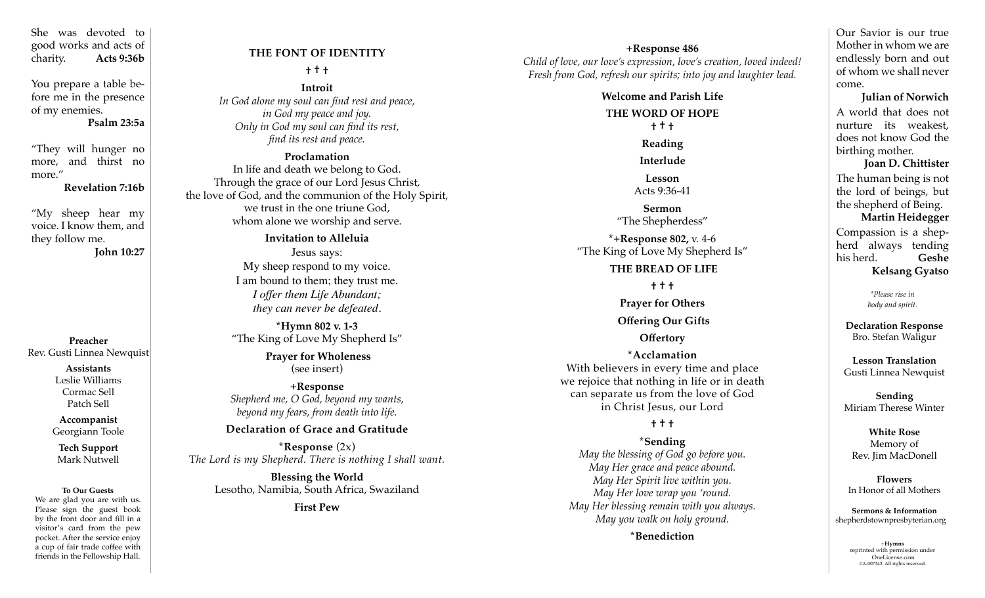She was devoted to good works and acts of charity. **Acts 9:36b**

You prepare a table before me in the presence of my enemies.

**Psalm 23:5a**

"They will hunger no more, and thirst no more."

**Revelation 7:16b**

"My sheep hear my voice. I know them, and they follow me.

**John 10:27**

**Preacher** Rev. Gusti Linnea Newquist

> **Assistants** Leslie Williams Cormac Sell Patch Sell

**Accompanist** Georgiann Toole

**Tech Support** Mark Nutwell

#### **To Our Guests**

We are glad you are with us. Please sign the guest book by the front door and fill in a visitor's card from the pew pocket. After the service enjoy a cup of fair trade coffee with friends in the Fellowship Hall.

## **THE FONT OF IDENTITY † † †**

**Introit** *In God alone my soul can find rest and peace, in God my peace and joy. Only in God my soul can find its rest, find its rest and peace.*

**Proclamation**  In life and death we belong to God. Through the grace of our Lord Jesus Christ, the love of God, and the communion of the Holy Spirit, we trust in the one triune God, whom alone we worship and serve.

> **Invitation to Alleluia** Jesus says: My sheep respond to my voice. I am bound to them; they trust me. *I offer them Life Abundant; they can never be defeated.*

**\*Hymn 802 v. 1-3** "The King of Love My Shepherd Is"

> **Prayer for Wholeness**  (see insert)

**+Response** *Shepherd me, O God, beyond my wants, beyond my fears, from death into life.*

### **Declaration of Grace and Gratitude**

**\*Response** (2x) T*he Lord is my Shepherd. There is nothing I shall want.* 

> **Blessing the World** Lesotho, Namibia, South Africa, Swaziland

> > **First Pew**

**+Response 486** *Child of love, our love's expression, love's creation, loved indeed! Fresh from God, refresh our spirits; into joy and laughter lead.*

> **Welcome and Parish Life THE WORD OF HOPE † † † Reading Interlude Lesson** Acts 9:36-41 **Sermon** "The Shepherdess" **\*+Response 802,** v. 4-6 "The King of Love My Shepherd Is" **THE BREAD OF LIFE † † † Prayer for Others Offering Our Gifts Offertory \*Acclamation** With believers in every time and place we rejoice that nothing in life or in death can separate us from the love of God in Christ Jesus, our Lord

# **† † †**

**\*Sending**  *May the blessing of God go before you. May Her grace and peace abound. May Her Spirit live within you. May Her love wrap you 'round. May Her blessing remain with you always. May you walk on holy ground.*

**\***Benediction  $+$ Hymns

Our Savior is our true Mother in whom we are endlessly born and out of whom we shall never come.

 **Julian of Norwich** A world that does not nurture its weakest, does not know God the birthing mother.

 **Joan D. Chittister** The human being is not the lord of beings, but the shepherd of Being. **Martin Heidegger** Compassion is a shepherd always tending his herd. **Geshe Kelsang Gyatso**

> *\*Please rise in body and spirit.*

**Declaration Response** Bro. Stefan Waligur

**Lesson Translation** Gusti Linnea Newquist

**Sending**  Miriam Therese Winter

**White Rose**  Memory of Rev. Jim MacDonell

**Flowers** In Honor of all Mothers

**Sermons & Information** shepherdstownpresbyterian.org

> reprinted with permission under OneLicense.com #A-007343. All rights reserved.